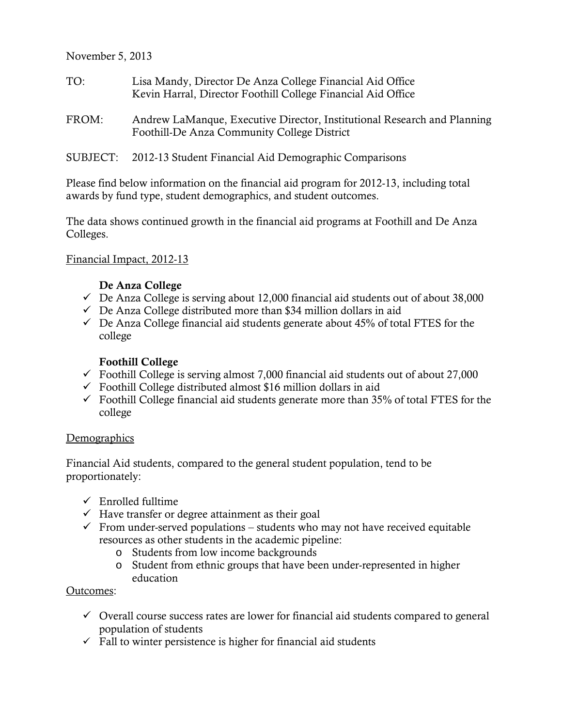November 5, 2013

- TO: Lisa Mandy, Director De Anza College Financial Aid Office Kevin Harral, Director Foothill College Financial Aid Office
- FROM: Andrew LaManque, Executive Director, Institutional Research and Planning Foothill-De Anza Community College District
- SUBJECT: 2012-13 Student Financial Aid Demographic Comparisons

Please find below information on the financial aid program for 2012-13, including total awards by fund type, student demographics, and student outcomes.

The data shows continued growth in the financial aid programs at Foothill and De Anza Colleges.

#### Financial Impact, 2012-13

#### De Anza College

- $\checkmark$  De Anza College is serving about 12,000 financial aid students out of about 38,000
- $\checkmark$  De Anza College distributed more than \$34 million dollars in aid
- $\checkmark$  De Anza College financial aid students generate about 45% of total FTES for the college

#### Foothill College

- $\checkmark$  Foothill College is serving almost 7,000 financial aid students out of about 27,000
- $\checkmark$  Foothill College distributed almost \$16 million dollars in aid
- $\checkmark$  Foothill College financial aid students generate more than 35% of total FTES for the college

#### **Demographics**

Financial Aid students, compared to the general student population, tend to be proportionately:

- $\checkmark$  Enrolled fulltime
- $\checkmark$  Have transfer or degree attainment as their goal
- $\checkmark$  From under-served populations students who may not have received equitable resources as other students in the academic pipeline:
	- o Students from low income backgrounds
	- o Student from ethnic groups that have been under-represented in higher education

#### Outcomes:

- $\checkmark$  Overall course success rates are lower for financial aid students compared to general population of students
- $\checkmark$  Fall to winter persistence is higher for financial aid students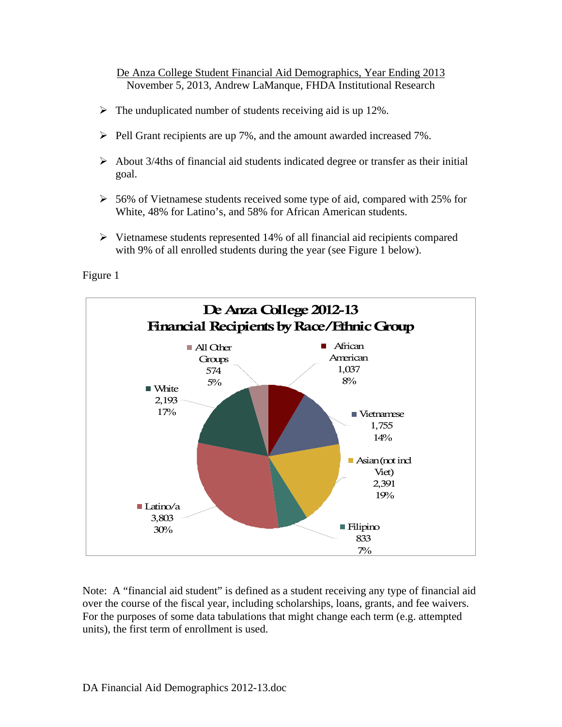De Anza College Student Financial Aid Demographics, Year Ending 2013 November 5, 2013, Andrew LaManque, FHDA Institutional Research

- $\triangleright$  The unduplicated number of students receiving aid is up 12%.
- $\triangleright$  Pell Grant recipients are up 7%, and the amount awarded increased 7%.
- $\triangleright$  About 3/4ths of financial aid students indicated degree or transfer as their initial goal.
- $\geq 56\%$  of Vietnamese students received some type of aid, compared with 25% for White, 48% for Latino's, and 58% for African American students.
- $\triangleright$  Vietnamese students represented 14% of all financial aid recipients compared with 9% of all enrolled students during the year (see Figure 1 below).

Figure 1



Note: A "financial aid student" is defined as a student receiving any type of financial aid over the course of the fiscal year, including scholarships, loans, grants, and fee waivers. For the purposes of some data tabulations that might change each term (e.g. attempted units), the first term of enrollment is used.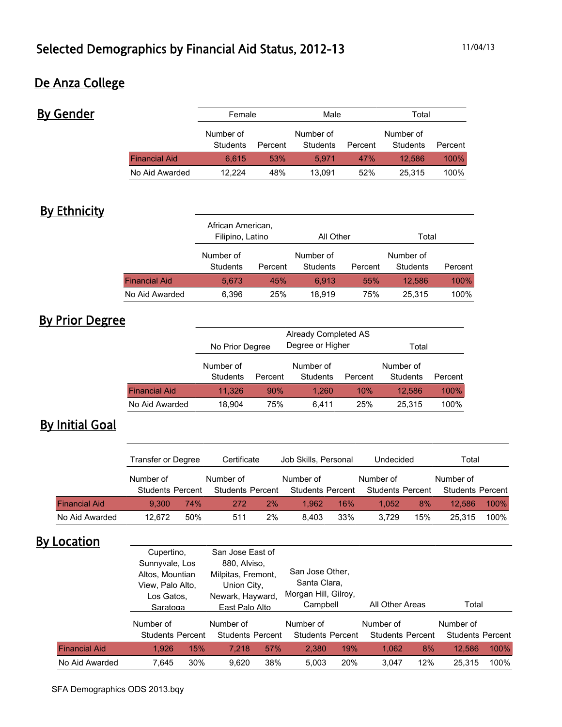## De Anza College

By Gender

|                      | Female                |            | Male                  |         | Total                 |         |  |
|----------------------|-----------------------|------------|-----------------------|---------|-----------------------|---------|--|
|                      | Number of<br>Students | Percent    | Number of<br>Students | Percent | Number of<br>Students | Percent |  |
| <b>Financial Aid</b> | 6.615                 | <b>53%</b> | 5.971                 | 47%     | 12.586                | 100%    |  |
| No Aid Awarded       | 12.224                | 48%        | 13.091                | 52%     | 25.315                | 100%    |  |

## **By Ethnicity**

|                      | African American,<br>Filipino, Latino |         | All Other             |         | Total                 |         |  |
|----------------------|---------------------------------------|---------|-----------------------|---------|-----------------------|---------|--|
|                      | Number of<br>Students                 | Percent | Number of<br>Students | Percent | Number of<br>Students | Percent |  |
| <b>Financial Aid</b> | 5.673                                 | 45%     | 6.913                 | 55%     | 12.586                | 100%    |  |
| No Aid Awarded       | 6,396                                 | 25%     | 18.919                | 75%     | 25.315                | 100%    |  |

# By Prior Degree

|                      | No Prior Degree       |         | Total                 |         |                       |         |
|----------------------|-----------------------|---------|-----------------------|---------|-----------------------|---------|
|                      | Number of<br>Students | Percent | Number of<br>Students | Percent | Number of<br>Students | Percent |
| <b>Financial Aid</b> | 11.326                | 90%     | 1.260                 | 10%     | 12.586                | 100%    |
| No Aid Awarded       | 18,904                | 75%     | 6.411                 | 25%     | 25.315                | 100%    |

# **By Initial Goal**

|                      | Transfer or Degree      |     | Certificate             |    | Job Skills, Personal    |     | Undecided               |     | Total                   |      |
|----------------------|-------------------------|-----|-------------------------|----|-------------------------|-----|-------------------------|-----|-------------------------|------|
|                      | Number of               |     | Number of               |    | Number of               |     | Number of               |     | Number of               |      |
|                      | <b>Students Percent</b> |     | <b>Students Percent</b> |    | <b>Students Percent</b> |     | <b>Students Percent</b> |     | <b>Students Percent</b> |      |
| <b>Financial Aid</b> | 9.300                   | 74% | 272                     | 2% | 1.962                   | 16% | 1.052                   | 8%  | 12.586                  | 100% |
| No Aid Awarded       | 12.672                  | 50% | 511                     | 2% | 8.403                   | 33% | 3.729                   | 15% | 25.315                  | 100% |

## **By Location**

|                      | Cupertino,<br>Sunnyvale, Los<br>Altos, Mountian<br>View, Palo Alto,<br>Los Gatos.<br>Saratoga |     | San Jose East of<br>880, Alviso,<br>Milpitas, Fremont,<br>Union City,<br>Newark, Hayward,<br>East Palo Alto |     | San Jose Other,<br>Santa Clara,<br>Morgan Hill, Gilroy,<br>Campbell |     | All Other Areas                      |     | Total                                |      |
|----------------------|-----------------------------------------------------------------------------------------------|-----|-------------------------------------------------------------------------------------------------------------|-----|---------------------------------------------------------------------|-----|--------------------------------------|-----|--------------------------------------|------|
|                      | Number of<br><b>Students Percent</b>                                                          |     | Number of<br><b>Students Percent</b>                                                                        |     | Number of<br><b>Students Percent</b>                                |     | Number of<br><b>Students Percent</b> |     | Number of<br><b>Students Percent</b> |      |
| <b>Financial Aid</b> | 1.926                                                                                         | 15% | 7.218                                                                                                       | 57% | 2.380                                                               | 19% | 1,062                                | 8%  | 12.586                               | 100% |
| No Aid Awarded       | 7.645                                                                                         | 30% | 9.620                                                                                                       | 38% | 5.003                                                               | 20% | 3.047                                | 12% | 25.315                               | 100% |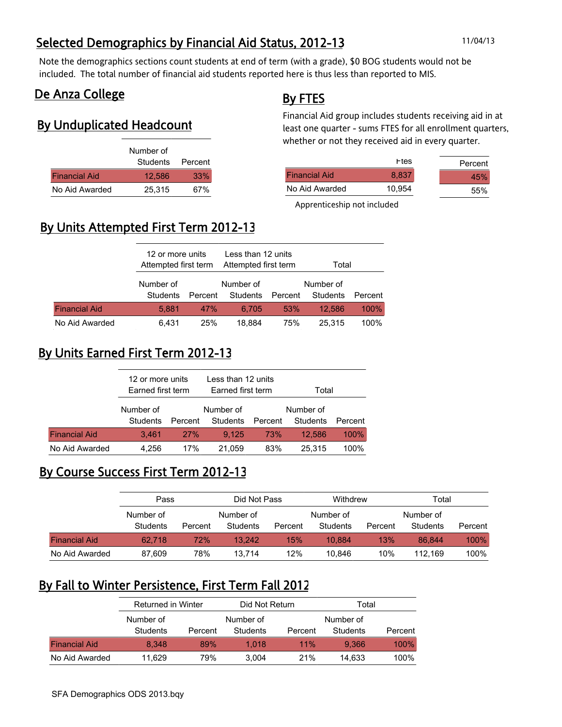# Selected Demographics by Financial Aid Status, 2012-13 11/04/13

Note the demographics sections count students at end of term (with a grade), \$0 BOG students would not be included. The total number of financial aid students reported here is thus less than reported to MIS.

### De Anza College

### By Unduplicated Headcount

|                      | Number of        |     |
|----------------------|------------------|-----|
|                      | Students Percent |     |
| <b>Financial Aid</b> | 12.586           | 33% |
| No Aid Awarded       | 25.315           | 67% |

### By FTES

Financial Aid group includes students receiving aid in at least one quarter - sums FTES for all enrollment quarters, whether or not they received aid in every quarter.

|                      | <b>F</b> tes | Percent |
|----------------------|--------------|---------|
| <b>Financial Aid</b> | 8.837        | 45%     |
| No Aid Awarded       | 10.954       | 55%     |

Apprenticeship not included

# By Units Attempted First Term 2012-13

|                      |                              | 12 or more units<br>Attempted first term |                       | Less than 12 units<br>Attempted first term | Total                 |         |  |
|----------------------|------------------------------|------------------------------------------|-----------------------|--------------------------------------------|-----------------------|---------|--|
|                      | Number of<br><b>Students</b> | Percent                                  | Number of<br>Students | Percent                                    | Number of<br>Students | Percent |  |
| <b>Financial Aid</b> | 5.881                        | 47%                                      | 6.705                 | <b>53%</b>                                 | 12.586                | 100%    |  |
| No Aid Awarded       | 6.431                        | <b>25%</b>                               | 18.884                | 75%                                        | 25.315                | 100%    |  |

# By Units Earned First Term 2012-13

|                      | 12 or more units  |            | Less than 12 units |         |           |         |  |
|----------------------|-------------------|------------|--------------------|---------|-----------|---------|--|
|                      | Earned first term |            | Earned first term  |         | Total     |         |  |
|                      |                   |            |                    |         |           |         |  |
|                      | Number of         |            | Number of          |         | Number of |         |  |
|                      | Students          | Percent    | Students           | Percent | Students  | Percent |  |
| <b>Financial Aid</b> | 3.461             | <b>27%</b> | 9.125              | 73%     | 12.586    | 100%    |  |
| No Aid Awarded       | 4.256             | 17%        | 21.059             | 83%     | 25.315    | 100%    |  |

### By Course Success First Term 2012-13

|                      | Pass      |         |           | Withdrew<br>Did Not Pass |           | Total   |           |         |  |
|----------------------|-----------|---------|-----------|--------------------------|-----------|---------|-----------|---------|--|
|                      | Number of |         | Number of |                          | Number of |         | Number of |         |  |
|                      | Students  | Percent | Students  | Percent                  | Students  | Percent | Students  | Percent |  |
| <b>Financial Aid</b> | 62.718    | 72%     | 13.242    | 15%                      | 10.884    | 13%     | 86.844    | 100%    |  |
| No Aid Awarded       | 87,609    | 78%     | 13.714    | 12%                      | 10.846    | 10%     | 112.169   | 100%    |  |

### By Fall to Winter Persistence, First Term Fall 2012

|                      | Returned in Winter |           | Did Not Return |         | Total           |         |  |  |
|----------------------|--------------------|-----------|----------------|---------|-----------------|---------|--|--|
|                      | Number of          | Number of |                |         | Number of       |         |  |  |
|                      | <b>Students</b>    | Percent   | Students       | Percent | <b>Students</b> | Percent |  |  |
| <b>Financial Aid</b> | 8.348              | 89%       | 1.018          | 11%     | 9.366           | 100%    |  |  |
| No Aid Awarded       | 11.629             | 79%       | 3.004          | 21%     | 14.633          | 100%    |  |  |